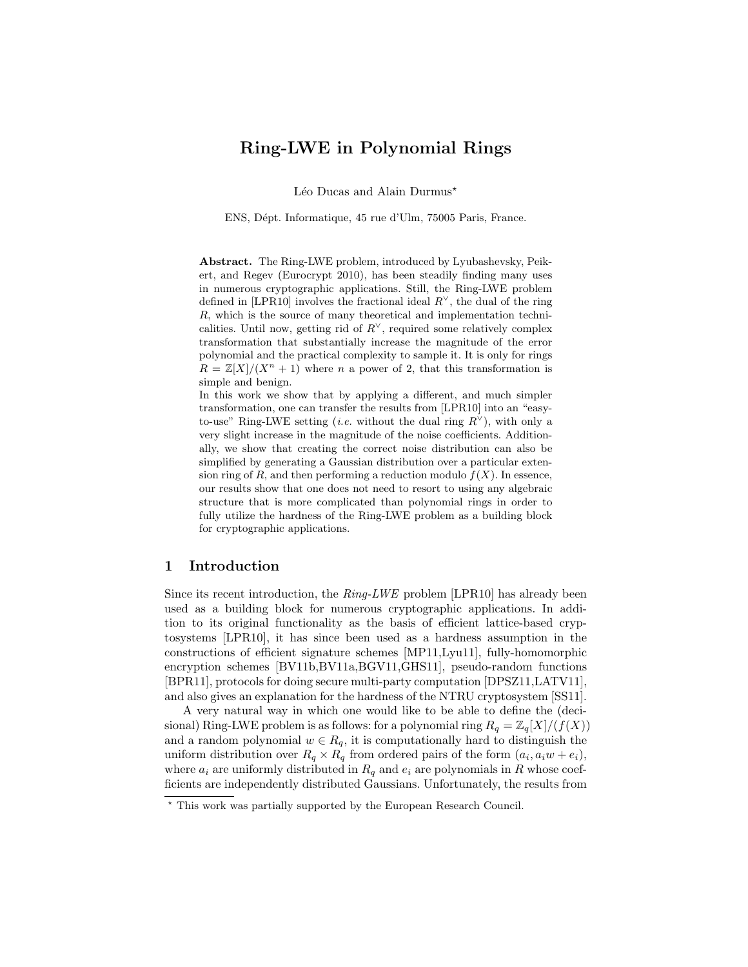## Ring-LWE in Polynomial Rings

Léo Ducas and Alain Durmus<sup>\*</sup>

ENS, D´ept. Informatique, 45 rue d'Ulm, 75005 Paris, France.

Abstract. The Ring-LWE problem, introduced by Lyubashevsky, Peikert, and Regev (Eurocrypt 2010), has been steadily finding many uses in numerous cryptographic applications. Still, the Ring-LWE problem defined in [LPR10] involves the fractional ideal  $R^{\vee}$ , the dual of the ring R, which is the source of many theoretical and implementation technicalities. Until now, getting rid of  $R^{\vee}$ , required some relatively complex transformation that substantially increase the magnitude of the error polynomial and the practical complexity to sample it. It is only for rings  $R = \mathbb{Z}[X]/(X^n + 1)$  where n a power of 2, that this transformation is simple and benign.

In this work we show that by applying a different, and much simpler transformation, one can transfer the results from [LPR10] into an "easyto-use" Ring-LWE setting (*i.e.* without the dual ring  $R^{\vee}$ ), with only a very slight increase in the magnitude of the noise coefficients. Additionally, we show that creating the correct noise distribution can also be simplified by generating a Gaussian distribution over a particular extension ring of R, and then performing a reduction modulo  $f(X)$ . In essence, our results show that one does not need to resort to using any algebraic structure that is more complicated than polynomial rings in order to fully utilize the hardness of the Ring-LWE problem as a building block for cryptographic applications.

## 1 Introduction

Since its recent introduction, the  $Ring\text{-}LWE$  problem [LPR10] has already been used as a building block for numerous cryptographic applications. In addition to its original functionality as the basis of efficient lattice-based cryptosystems [LPR10], it has since been used as a hardness assumption in the constructions of efficient signature schemes [MP11,Lyu11], fully-homomorphic encryption schemes [BV11b,BV11a,BGV11,GHS11], pseudo-random functions [BPR11], protocols for doing secure multi-party computation [DPSZ11,LATV11], and also gives an explanation for the hardness of the NTRU cryptosystem [SS11].

A very natural way in which one would like to be able to define the (decisional) Ring-LWE problem is as follows: for a polynomial ring  $R_q = \mathbb{Z}_q[X]/(f(X))$ and a random polynomial  $w \in R_q$ , it is computationally hard to distinguish the uniform distribution over  $R_q \times R_q$  from ordered pairs of the form  $(a_i, a_i w + e_i)$ , where  $a_i$  are uniformly distributed in  $R_q$  and  $e_i$  are polynomials in R whose coefficients are independently distributed Gaussians. Unfortunately, the results from

<sup>?</sup> This work was partially supported by the European Research Council.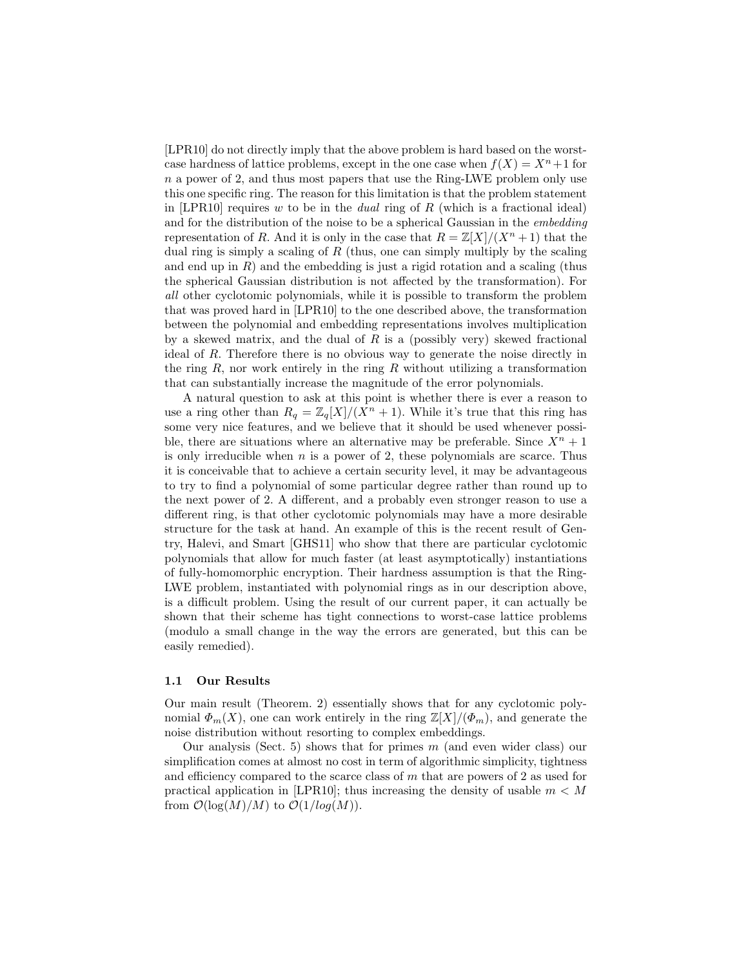[LPR10] do not directly imply that the above problem is hard based on the worstcase hardness of lattice problems, except in the one case when  $f(X) = X<sup>n</sup> + 1$  for n a power of 2, and thus most papers that use the Ring-LWE problem only use this one specific ring. The reason for this limitation is that the problem statement in [LPR10] requires w to be in the *dual* ring of  $R$  (which is a fractional ideal) and for the distribution of the noise to be a spherical Gaussian in the embedding representation of R. And it is only in the case that  $R = \mathbb{Z}[X]/(X^n + 1)$  that the dual ring is simply a scaling of  $R$  (thus, one can simply multiply by the scaling and end up in  $R$ ) and the embedding is just a rigid rotation and a scaling (thus the spherical Gaussian distribution is not affected by the transformation). For all other cyclotomic polynomials, while it is possible to transform the problem that was proved hard in [LPR10] to the one described above, the transformation between the polynomial and embedding representations involves multiplication by a skewed matrix, and the dual of  $R$  is a (possibly very) skewed fractional ideal of R. Therefore there is no obvious way to generate the noise directly in the ring  $R$ , nor work entirely in the ring  $R$  without utilizing a transformation that can substantially increase the magnitude of the error polynomials.

A natural question to ask at this point is whether there is ever a reason to use a ring other than  $R_q = \mathbb{Z}_q[X]/(X^n + 1)$ . While it's true that this ring has some very nice features, and we believe that it should be used whenever possible, there are situations where an alternative may be preferable. Since  $X^n + 1$ is only irreducible when  $n$  is a power of 2, these polynomials are scarce. Thus it is conceivable that to achieve a certain security level, it may be advantageous to try to find a polynomial of some particular degree rather than round up to the next power of 2. A different, and a probably even stronger reason to use a different ring, is that other cyclotomic polynomials may have a more desirable structure for the task at hand. An example of this is the recent result of Gentry, Halevi, and Smart [GHS11] who show that there are particular cyclotomic polynomials that allow for much faster (at least asymptotically) instantiations of fully-homomorphic encryption. Their hardness assumption is that the Ring-LWE problem, instantiated with polynomial rings as in our description above, is a difficult problem. Using the result of our current paper, it can actually be shown that their scheme has tight connections to worst-case lattice problems (modulo a small change in the way the errors are generated, but this can be easily remedied).

#### 1.1 Our Results

Our main result (Theorem. 2) essentially shows that for any cyclotomic polynomial  $\Phi_m(X)$ , one can work entirely in the ring  $\mathbb{Z}[X]/(\Phi_m)$ , and generate the noise distribution without resorting to complex embeddings.

Our analysis (Sect. 5) shows that for primes  $m$  (and even wider class) our simplification comes at almost no cost in term of algorithmic simplicity, tightness and efficiency compared to the scarce class of  $m$  that are powers of 2 as used for practical application in [LPR10]; thus increasing the density of usable  $m < M$ from  $\mathcal{O}(\log(M)/M)$  to  $\mathcal{O}(1/log(M)).$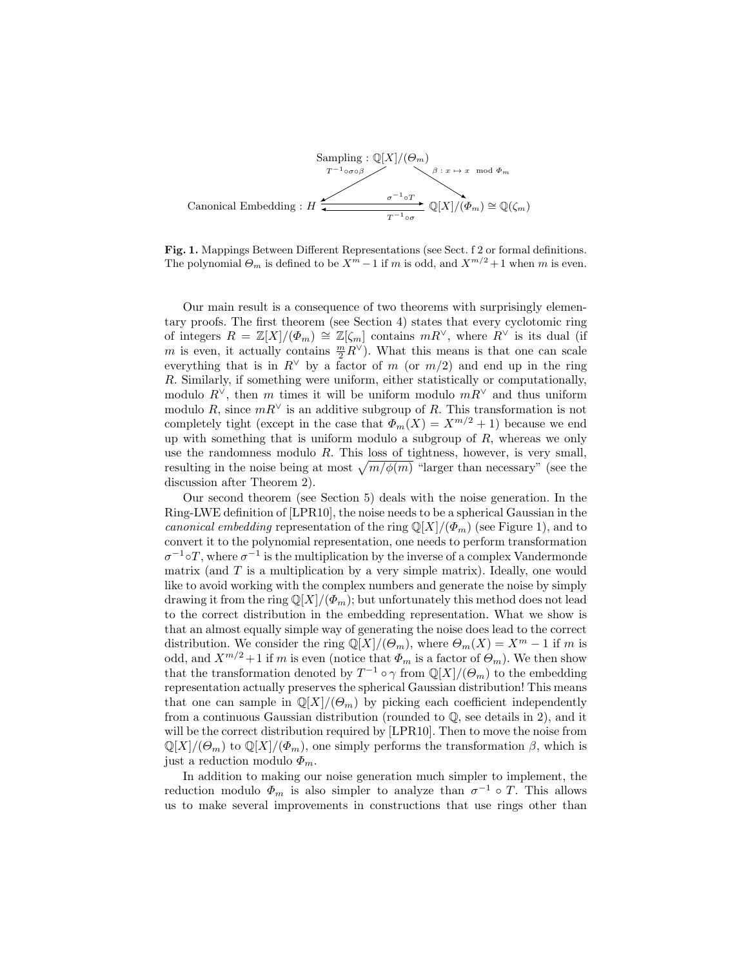

Fig. 1. Mappings Between Different Representations (see Sect. f 2 or formal definitions. The polynomial  $\Theta_m$  is defined to be  $X^m - 1$  if m is odd, and  $X^{m/2} + 1$  when m is even.

Our main result is a consequence of two theorems with surprisingly elementary proofs. The first theorem (see Section 4) states that every cyclotomic ring of integers  $R = \mathbb{Z}[X]/(\Phi_m) \cong \mathbb{Z}[\zeta_m]$  contains  $mR^{\vee}$ , where  $R^{\vee}$  is its dual (if m is even, it actually contains  $\frac{m}{2}R^{\vee}$ ). What this means is that one can scale everything that is in  $R^{\vee}$  by a factor of m (or  $m/2$ ) and end up in the ring R. Similarly, if something were uniform, either statistically or computationally, modulo  $R^{\vee}$ , then m times it will be uniform modulo  $mR^{\vee}$  and thus uniform modulo R, since  $mR^{\vee}$  is an additive subgroup of R. This transformation is not completely tight (except in the case that  $\Phi_m(X) = X^{m/2} + 1$ ) because we end up with something that is uniform modulo a subgroup of  $R$ , whereas we only use the randomness modulo  $R$ . This loss of tightness, however, is very small, resulting in the noise being at most  $\sqrt{m/\phi(m)}$  "larger than necessary" (see the discussion after Theorem 2).

Our second theorem (see Section 5) deals with the noise generation. In the Ring-LWE definition of [LPR10], the noise needs to be a spherical Gaussian in the canonical embedding representation of the ring  $\mathbb{Q}[X]/(\Phi_m)$  (see Figure 1), and to convert it to the polynomial representation, one needs to perform transformation  $\sigma^{-1}$ °T, where  $\sigma^{-1}$  is the multiplication by the inverse of a complex Vandermonde matrix (and  $T$  is a multiplication by a very simple matrix). Ideally, one would like to avoid working with the complex numbers and generate the noise by simply drawing it from the ring  $\mathbb{Q}[X]/(\Phi_m)$ ; but unfortunately this method does not lead to the correct distribution in the embedding representation. What we show is that an almost equally simple way of generating the noise does lead to the correct distribution. We consider the ring  $\mathbb{Q}[X]/(\Theta_m)$ , where  $\Theta_m(X) = X^m - 1$  if m is odd, and  $X^{m/2}+1$  if m is even (notice that  $\Phi_m$  is a factor of  $\Theta_m$ ). We then show that the transformation denoted by  $T^{-1} \circ \gamma$  from  $\mathbb{Q}[X]/(\Theta_m)$  to the embedding representation actually preserves the spherical Gaussian distribution! This means that one can sample in  $\mathbb{Q}[X]/(\Theta_m)$  by picking each coefficient independently from a continuous Gaussian distribution (rounded to Q, see details in 2), and it will be the correct distribution required by [LPR10]. Then to move the noise from  $\mathbb{Q}[X]/(\Theta_m)$  to  $\mathbb{Q}[X]/(\Phi_m)$ , one simply performs the transformation  $\beta$ , which is just a reduction modulo  $\Phi_m$ .

In addition to making our noise generation much simpler to implement, the reduction modulo  $\Phi_m$  is also simpler to analyze than  $\sigma^{-1} \circ T$ . This allows us to make several improvements in constructions that use rings other than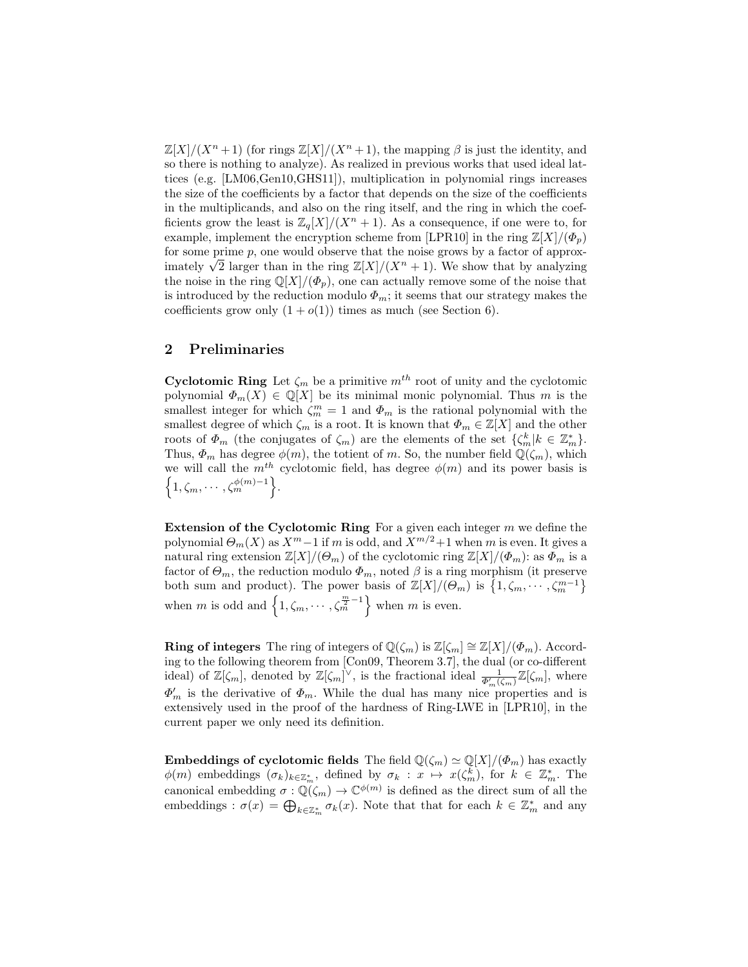$\mathbb{Z}[X]/(X^n+1)$  (for rings  $\mathbb{Z}[X]/(X^n+1)$ , the mapping  $\beta$  is just the identity, and so there is nothing to analyze). As realized in previous works that used ideal lattices (e.g. [LM06,Gen10,GHS11]), multiplication in polynomial rings increases the size of the coefficients by a factor that depends on the size of the coefficients in the multiplicands, and also on the ring itself, and the ring in which the coefficients grow the least is  $\mathbb{Z}_q[X]/(X^n + 1)$ . As a consequence, if one were to, for example, implement the encryption scheme from [LPR10] in the ring  $\mathbb{Z}[X]/(\Phi_n)$ for some prime  $p$ , one would observe that the noise grows by a factor of approxfor some prime p, one would observe that the noise grows by a factor of approximately  $\sqrt{2}$  larger than in the ring  $\mathbb{Z}[X]/(X^n + 1)$ . We show that by analyzing the noise in the ring  $\mathbb{Q}[X]/(\Phi_p)$ , one can actually remove some of the noise that is introduced by the reduction modulo  $\Phi_m$ ; it seems that our strategy makes the coefficients grow only  $(1 + o(1))$  times as much (see Section 6).

## 2 Preliminaries

Cyclotomic Ring Let  $\zeta_m$  be a primitive  $m^{th}$  root of unity and the cyclotomic polynomial  $\Phi_m(X) \in \mathbb{Q}[X]$  be its minimal monic polynomial. Thus m is the smallest integer for which  $\zeta_m^m = 1$  and  $\Phi_m$  is the rational polynomial with the smallest degree of which  $\zeta_m$  is a root. It is known that  $\Phi_m \in \mathbb{Z}[X]$  and the other roots of  $\Phi_m$  (the conjugates of  $\zeta_m$ ) are the elements of the set  $\{\zeta_m^k | k \in \mathbb{Z}_m^*\}$ . Thus,  $\Phi_m$  has degree  $\phi(m)$ , the totient of m. So, the number field  $\mathbb{Q}(\zeta_m)$ , which we will call the  $m<sup>th</sup>$  cyclotomic field, has degree  $\phi(m)$  and its power basis is  $\left\{1, \zeta_m, \cdots, \zeta_m^{\phi(m)-1}\right\}.$ 

**Extension of the Cyclotomic Ring** For a given each integer  $m$  we define the polynomial  $\Theta_m(X)$  as  $X^m-1$  if m is odd, and  $X^{m/2}+1$  when m is even. It gives a natural ring extension  $\mathbb{Z}[X]/(\Theta_m)$  of the cyclotomic ring  $\mathbb{Z}[X]/(\Phi_m)$ : as  $\Phi_m$  is a factor of  $\Theta_m$ , the reduction modulo  $\Phi_m$ , noted  $\beta$  is a ring morphism (it preserve both sum and product). The power basis of  $\mathbb{Z}[X]/(\Theta_m)$  is  $\{1,\zeta_m,\cdots,\zeta_m^{m-1}\}\$ when m is odd and  $\left\{1, \zeta_m, \cdots, \zeta_m^{\frac{m}{2}-1}\right\}$  when m is even.

**Ring of integers** The ring of integers of  $\mathbb{Q}(\zeta_m)$  is  $\mathbb{Z}[\zeta_m] \cong \mathbb{Z}[X]/(\Phi_m)$ . According to the following theorem from [Con09, Theorem 3.7], the dual (or co-different ideal) of  $\mathbb{Z}[\zeta_m]$ , denoted by  $\mathbb{Z}[\zeta_m]^{\vee}$ , is the fractional ideal  $\frac{1}{\Phi'_m(\zeta_m)}\mathbb{Z}[\zeta_m]$ , where  $\Phi'_m$  is the derivative of  $\Phi_m$ . While the dual has many nice properties and is extensively used in the proof of the hardness of Ring-LWE in [LPR10], in the current paper we only need its definition.

**Embeddings of cyclotomic fields** The field  $\mathbb{Q}(\zeta_m) \simeq \mathbb{Q}[X]/(\Phi_m)$  has exactly  $\phi(m)$  embeddings  $(\sigma_k)_{k \in \mathbb{Z}_m^*}$ , defined by  $\sigma_k : x \mapsto x(\zeta_m^k)$ , for  $k \in \mathbb{Z}_m^*$ . The canonical embedding  $\sigma: \mathbb{Q}(\zeta_m) \to \mathbb{C}^{\phi(m)}$  is defined as the direct sum of all the embeddings :  $\sigma(x) = \bigoplus_{k \in \mathbb{Z}_m^*} \sigma_k(x)$ . Note that that for each  $k \in \mathbb{Z}_m^*$  and any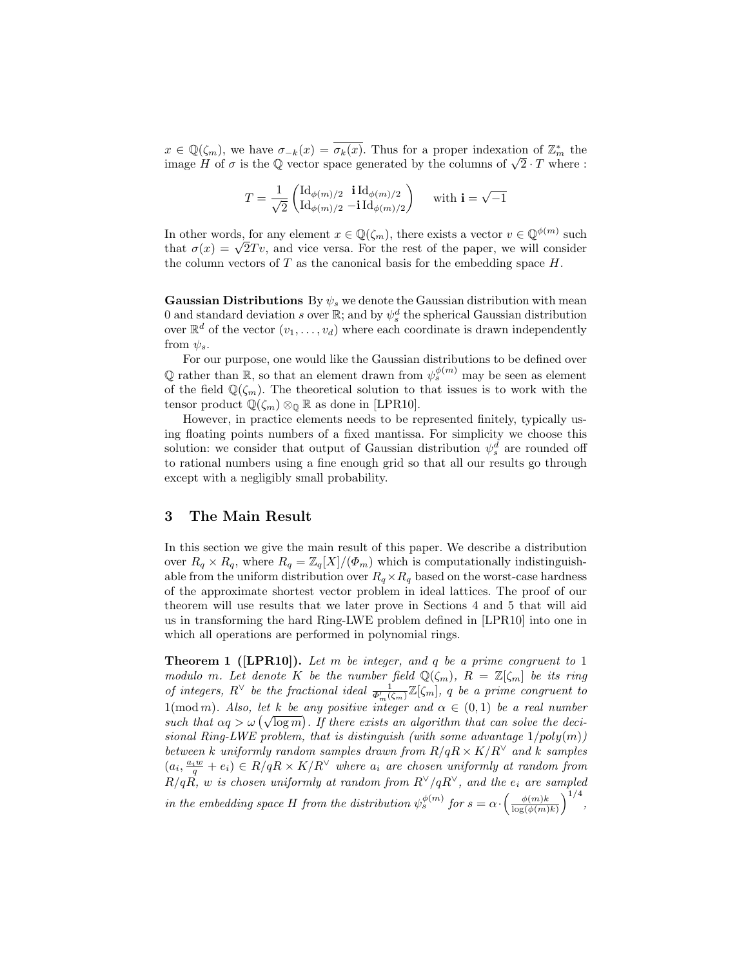$x \in \mathbb{Q}(\zeta_m)$ , we have  $\sigma_{-k}(x) = \overline{\sigma_k(x)}$ . Thus for a proper indexation of  $\mathbb{Z}_m^*$  the  $x \in \mathbb{Q}(\zeta_m)$ , we nave  $\sigma_{-k}(x) = \sigma_k(x)$ . I hus for a proper molexation of  $\mathbb{Z}_m$  the image H of  $\sigma$  is the Q vector space generated by the columns of  $\sqrt{2} \cdot T$  where :

$$
T = \frac{1}{\sqrt{2}} \begin{pmatrix} \mathrm{Id}_{\phi(m)/2} & \mathbf{i} \, \mathrm{Id}_{\phi(m)/2} \\ \mathrm{Id}_{\phi(m)/2} & -\mathbf{i} \, \mathrm{Id}_{\phi(m)/2} \end{pmatrix} \quad \text{ with } \mathbf{i} = \sqrt{-1}
$$

In other words, for any element  $x \in \mathbb{Q}(\zeta_m)$ , there exists a vector  $v \in \mathbb{Q}^{\phi(m)}$  such In other words, for any element  $x \in \mathbb{Q}(\zeta_m)$ , there exists a vector  $v \in \mathbb{Q}^{\gamma \vee \cdots}$  such that  $\sigma(x) = \sqrt{2}Tv$ , and vice versa. For the rest of the paper, we will consider the column vectors of  $T$  as the canonical basis for the embedding space  $H$ .

Gaussian Distributions By  $\psi_s$  we denote the Gaussian distribution with mean 0 and standard deviation s over  $\mathbb{R}$ ; and by  $\psi_s^d$  the spherical Gaussian distribution over  $\mathbb{R}^d$  of the vector  $(v_1, \ldots, v_d)$  where each coordinate is drawn independently from  $\psi_s$ .

For our purpose, one would like the Gaussian distributions to be defined over  $\mathbb Q$  rather than  $\mathbb R$ , so that an element drawn from  $\psi_s^{\phi(m)}$  may be seen as element of the field  $\mathbb{Q}(\zeta_m)$ . The theoretical solution to that issues is to work with the tensor product  $\mathbb{Q}(\zeta_m) \otimes_{\mathbb{Q}} \mathbb{R}$  as done in [LPR10].

However, in practice elements needs to be represented finitely, typically using floating points numbers of a fixed mantissa. For simplicity we choose this solution: we consider that output of Gaussian distribution  $\psi_s^d$  are rounded off to rational numbers using a fine enough grid so that all our results go through except with a negligibly small probability.

## 3 The Main Result

In this section we give the main result of this paper. We describe a distribution over  $R_q \times R_q$ , where  $R_q = \mathbb{Z}_q[X]/(\Phi_m)$  which is computationally indistinguishable from the uniform distribution over  $R_q \times R_q$  based on the worst-case hardness of the approximate shortest vector problem in ideal lattices. The proof of our theorem will use results that we later prove in Sections 4 and 5 that will aid us in transforming the hard Ring-LWE problem defined in [LPR10] into one in which all operations are performed in polynomial rings.

**Theorem 1** ([LPR10]). Let m be integer, and q be a prime congruent to 1 modulo m. Let denote K be the number field  $\mathbb{Q}(\zeta_m)$ ,  $R = \mathbb{Z}[\zeta_m]$  be its ring of integers,  $R^{\vee}$  be the fractional ideal  $\frac{1}{\Phi'_m(\zeta_m)}\mathbb{Z}[\zeta_m]$ , q be a prime congruent to  $1(\text{mod } m)$ . Also, let k be any positive integer and  $\alpha \in (0,1)$  be a real number  $\lim_{n \to \infty} \limsup_{n \to \infty} \log \frac{n}{n}$  is there exists an algorithm that can solve the decisional Ring-LWE problem, that is distinguish (with some advantage  $1/poly(m)$ ) between k uniformly random samples drawn from  $R/qR \times K/R^{\vee}$  and k samples  $(a_i, \frac{a_i w}{q} + e_i) \in R/qR \times K/R^{\vee}$  where  $a_i$  are chosen uniformly at random from  $R/q\hat{R}, w$  is chosen uniformly at random from  $R^\vee/qR^\vee$ , and the  $e_i$  are sampled in the embedding space H from the distribution  $\psi_s^{\phi(m)}$  for  $s = \alpha \cdot \left( \frac{\phi(m)k}{\log(\phi(m))} \right)$  $\frac{\phi(m)k}{\log(\phi(m)k)}\Big)^{1/4},$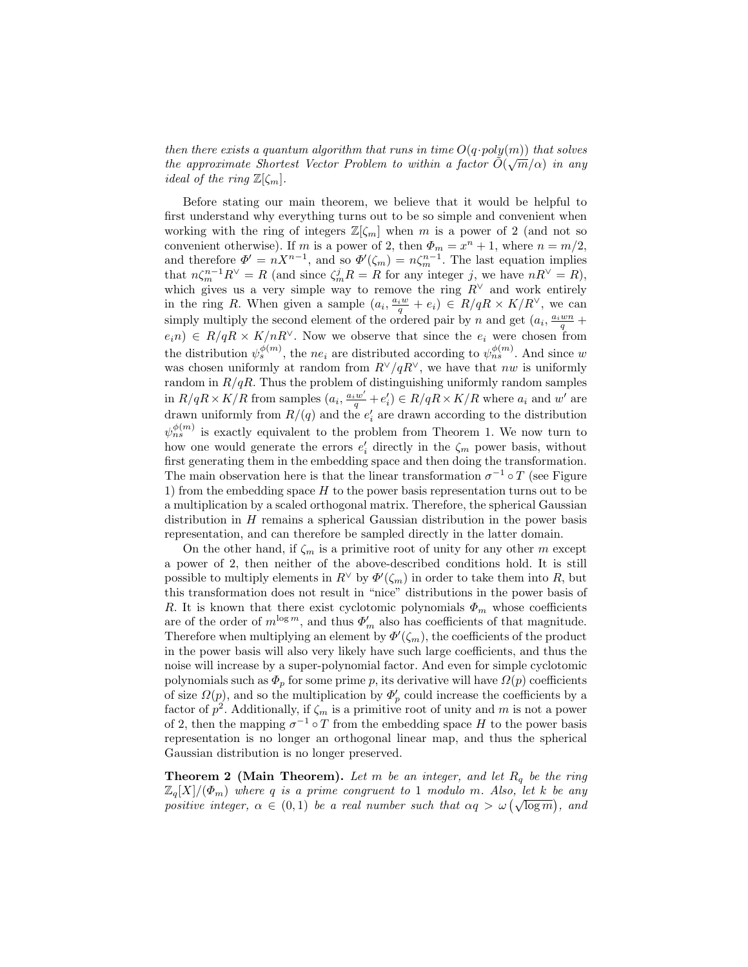then there exists a quantum algorithm that runs in time  $O(q \cdot poly(m))$  that solves the approximate Shortest Vector Problem to within a factor  $\tilde{O}(\sqrt{m}/\alpha)$  in any *ideal of the ring*  $\mathbb{Z}[\zeta_m]$ .

Before stating our main theorem, we believe that it would be helpful to first understand why everything turns out to be so simple and convenient when working with the ring of integers  $\mathbb{Z}[\zeta_m]$  when m is a power of 2 (and not so convenient otherwise). If m is a power of 2, then  $\Phi_m = x^n + 1$ , where  $n = m/2$ , and therefore  $\Phi' = nX^{n-1}$ , and so  $\Phi'(\zeta_m) = n\zeta_m^{n-1}$ . The last equation implies that  $n\zeta_m^{n-1}R^{\vee} = R$  (and since  $\zeta_m^j R = R$  for any integer j, we have  $nR^{\vee} = R$ ), which gives us a very simple way to remove the ring  $R^{\vee}$  and work entirely in the ring R. When given a sample  $(a_i, \frac{a_i w}{q} + e_i) \in R/qR \times K/R^{\vee}$ , we can simply multiply the second element of the ordered pair by n and get  $(a_i, \frac{a_i w n}{q} +$  $e_i n$ )  $\in R/qR \times K/nR^{\vee}$ . Now we observe that since the  $e_i$  were chosen from the distribution  $\psi_s^{\phi(m)}$ , the ne<sub>i</sub> are distributed according to  $\psi_{ns}^{\phi(m)}$ . And since w was chosen uniformly at random from  $R^{\vee}/qR^{\vee}$ , we have that nw is uniformly random in  $R/qR$ . Thus the problem of distinguishing uniformly random samples in  $R/qR \times K/R$  from samples  $(a_i, \frac{a_iw'}{q} + e'_i) \in R/qR \times K/R$  where  $a_i$  and w' are drawn uniformly from  $R/(q)$  and the  $e'_i$  are drawn according to the distribution  $\psi_{ns}^{\phi(m)}$  is exactly equivalent to the problem from Theorem 1. We now turn to how one would generate the errors  $e'_i$  directly in the  $\zeta_m$  power basis, without first generating them in the embedding space and then doing the transformation. The main observation here is that the linear transformation  $\sigma^{-1} \circ T$  (see Figure 1) from the embedding space  $H$  to the power basis representation turns out to be a multiplication by a scaled orthogonal matrix. Therefore, the spherical Gaussian distribution in H remains a spherical Gaussian distribution in the power basis representation, and can therefore be sampled directly in the latter domain.

On the other hand, if  $\zeta_m$  is a primitive root of unity for any other m except a power of 2, then neither of the above-described conditions hold. It is still possible to multiply elements in  $R^{\vee}$  by  $\Phi'(\zeta_m)$  in order to take them into R, but this transformation does not result in "nice" distributions in the power basis of R. It is known that there exist cyclotomic polynomials  $\Phi_m$  whose coefficients are of the order of  $m^{\log m}$ , and thus  $\Phi'_{m}$  also has coefficients of that magnitude. Therefore when multiplying an element by  $\Phi'(\zeta_m)$ , the coefficients of the product in the power basis will also very likely have such large coefficients, and thus the noise will increase by a super-polynomial factor. And even for simple cyclotomic polynomials such as  $\Phi_p$  for some prime p, its derivative will have  $\Omega(p)$  coefficients of size  $\Omega(p)$ , and so the multiplication by  $\Phi'_p$  could increase the coefficients by a factor of  $p^2$ . Additionally, if  $\zeta_m$  is a primitive root of unity and m is not a power of 2, then the mapping  $\sigma^{-1} \circ T$  from the embedding space H to the power basis representation is no longer an orthogonal linear map, and thus the spherical Gaussian distribution is no longer preserved.

**Theorem 2 (Main Theorem).** Let m be an integer, and let  $R_q$  be the ring  $\mathbb{Z}_q[X]/(\Phi_m)$  where q is a prime congruent to 1 modulo m. Also, let k be any  $\mathbb{Z}_q[\Lambda]/(\mathfrak{L}_m)$  where q is a prime congruent to 1 modulo in. Also, let  $\kappa$  be any positive integer,  $\alpha \in (0,1)$  be a real number such that  $\alpha q > \omega(\sqrt{\log m})$ , and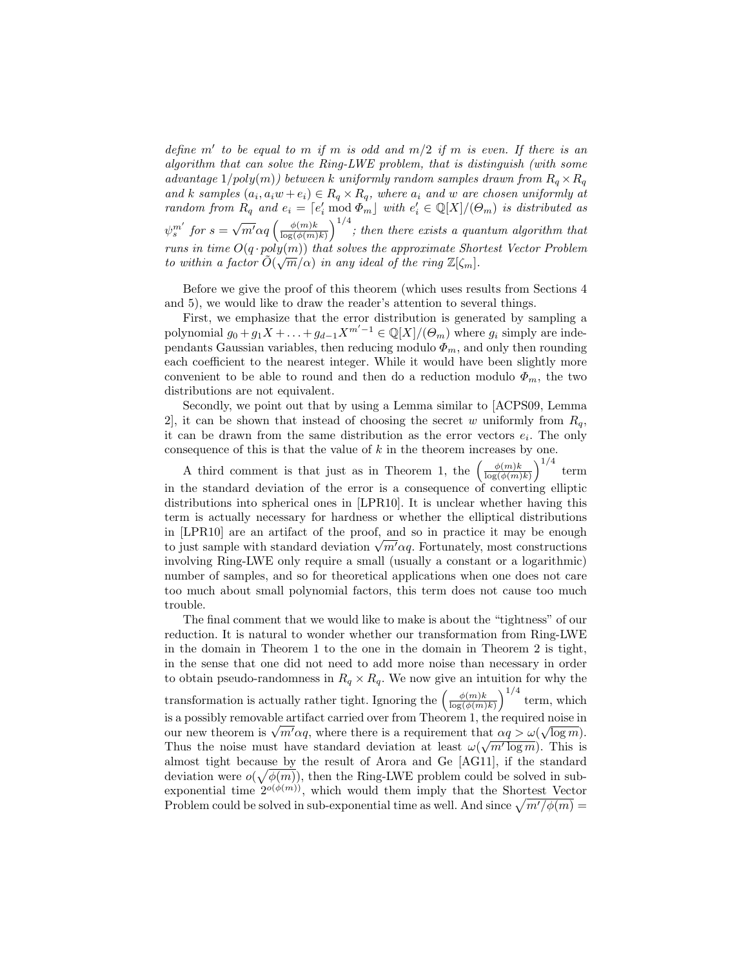define m' to be equal to m if m is odd and  $m/2$  if m is even. If there is an algorithm that can solve the Ring-LWE problem, that is distinguish (with some advantage  $1/poly(m)$ ) between k uniformly random samples drawn from  $R_q \times R_q$ and k samples  $(a_i, a_i w + e_i) \in R_q \times R_q$ , where  $a_i$  and w are chosen uniformly at random from  $R_q$  and  $e_i = [e'_i \bmod \Phi_m]$  with  $e'_i \in \mathbb{Q}[X]/(\Theta_m)$  is distributed as  $\psi_s^{m'}$  for  $s=$  $\sqrt{m'}\alpha q\left(\frac{\phi(m)k}{\log(\phi(m))}\right)$  $\frac{\phi(m)k}{\log(\phi(m)k)}$  and there exists a quantum algorithm that runs in time  $O(q \cdot poly(m))$  that solves the approximate Shortest Vector Problem to within a factor  $\tilde{O}(\sqrt{m}/\alpha)$  in any ideal of the ring  $\mathbb{Z}[\zeta_m]$ .

Before we give the proof of this theorem (which uses results from Sections 4 and 5), we would like to draw the reader's attention to several things.

First, we emphasize that the error distribution is generated by sampling a polynomial  $g_0 + g_1 X + \ldots + g_{d-1} X^{m'-1} \in \mathbb{Q}[X]/(\Theta_m)$  where  $g_i$  simply are independants Gaussian variables, then reducing modulo  $\Phi_m$ , and only then rounding each coefficient to the nearest integer. While it would have been slightly more convenient to be able to round and then do a reduction modulo  $\Phi_m$ , the two distributions are not equivalent.

Secondly, we point out that by using a Lemma similar to [ACPS09, Lemma 2, it can be shown that instead of choosing the secret w uniformly from  $R_q$ , it can be drawn from the same distribution as the error vectors  $e_i$ . The only consequence of this is that the value of  $k$  in the theorem increases by one.

A third comment is that just as in Theorem 1, the  $\left(\frac{\phi(m)k}{\log(\phi(m))}\right)$  $\frac{\phi(m)k}{\log(\phi(m)k)}\Big)^{1/4}$  term in the standard deviation of the error is a consequence of converting elliptic distributions into spherical ones in [LPR10]. It is unclear whether having this term is actually necessary for hardness or whether the elliptical distributions in [LPR10] are an artifact of the proof, and so in practice it may be enough in [LPRIU] are an artifact of the proof, and so in practice it may be enough<br>to just sample with standard deviation  $\sqrt{m' \alpha q}$ . Fortunately, most constructions involving Ring-LWE only require a small (usually a constant or a logarithmic) number of samples, and so for theoretical applications when one does not care too much about small polynomial factors, this term does not cause too much trouble.

The final comment that we would like to make is about the "tightness" of our reduction. It is natural to wonder whether our transformation from Ring-LWE in the domain in Theorem 1 to the one in the domain in Theorem 2 is tight, in the sense that one did not need to add more noise than necessary in order to obtain pseudo-randomness in  $R_q \times R_q$ . We now give an intuition for why the transformation is actually rather tight. Ignoring the  $\left(\frac{\phi(m)k}{\log(\phi(m))}\right)$  $\frac{\phi(m)k}{\log(\phi(m)k)}\right)^{1/4}$  term, which is a possibly removable artifact carried over from Theorem 1, the required noise in √ is a possibly removable artifact carried over from Theorem 1, the required noise in<br>our new theorem is  $\sqrt{m' \alpha q}$ , where there is a requirement that  $\alpha q > \omega(\sqrt{\log m})$ . Thus the noise must have standard deviation at least  $\omega(\sqrt{m' \log m})$ . This is almost tight because by the result of Arora and Ge [AG11], if the standard deviation were  $o(\sqrt{\phi(m)})$ , then the Ring-LWE problem could be solved in subexponential time  $2^{o(\phi(m))}$ , which would them imply that the Shortest Vector Problem could be solved in sub-exponential time as well. And since  $\sqrt{m'/\phi(m)}$  =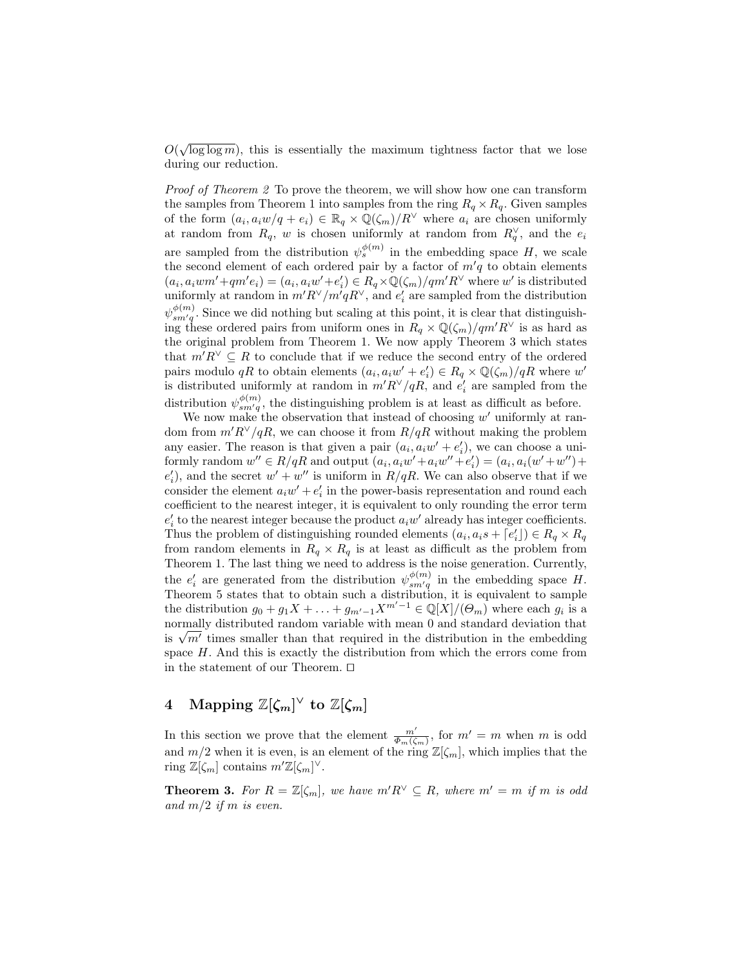$O(\sqrt{\log \log m})$ , this is essentially the maximum tightness factor that we lose during our reduction.

Proof of Theorem 2 To prove the theorem, we will show how one can transform the samples from Theorem 1 into samples from the ring  $R_q \times R_q$ . Given samples of the form  $(a_i, a_i w/q + e_i) \in \mathbb{R}_q \times \mathbb{Q}(\zeta_m)/R^\vee$  where  $a_i$  are chosen uniformly at random from  $R_q$ , w is chosen uniformly at random from  $R_q^{\vee}$ , and the  $e_i$ are sampled from the distribution  $\psi_s^{\phi(m)}$  in the embedding space H, we scale the second element of each ordered pair by a factor of  $m'q$  to obtain elements  $(a_i, a_iwm' + qm'e_i) = (a_i, a_iw' + e'_i) \in R_q \times \mathbb{Q}(\zeta_m)/qm'R^{\vee}$  where w' is distributed uniformly at random in  $m'R^\vee/m'qR^\vee$ , and  $e'_i$  are sampled from the distribution  $\psi_{sm'q}^{\phi(m)}$ . Since we did nothing but scaling at this point, it is clear that distinguishing these ordered pairs from uniform ones in  $R_q \times \mathbb{Q}(\zeta_m)/qm'R^{\vee}$  is as hard as the original problem from Theorem 1. We now apply Theorem 3 which states that  $m'R^{\vee} \subseteq R$  to conclude that if we reduce the second entry of the ordered pairs modulo qR to obtain elements  $(a_i, a_i w' + e'_i) \in R_q \times \mathbb{Q}(\zeta_m)/qR$  where  $w'$ is distributed uniformly at random in  $m'R^{\vee}/qR$ , and  $e'_i$  are sampled from the distribution  $\psi_{sm'q}^{\phi(m)}$ , the distinguishing problem is at least as difficult as before.

We now make the observation that instead of choosing  $w'$  uniformly at random from  $m'R^\vee/qR$ , we can choose it from  $R/qR$  without making the problem any easier. The reason is that given a pair  $(a_i, a_i w' + e'_i)$ , we can choose a uniformly random  $w'' \in R/qR$  and output  $(a_i, a_iw' + a_iw'' + e'_i) = (a_i, a_i(w' + w'') +$  $e'_{i}$ ), and the secret  $w' + w''$  is uniform in  $R/qR$ . We can also observe that if we consider the element  $a_iw' + e'_i$  in the power-basis representation and round each coefficient to the nearest integer, it is equivalent to only rounding the error term  $e'_{i}$  to the nearest integer because the product  $a_{i}w'$  already has integer coefficients. Thus the problem of distinguishing rounded elements  $(a_i, a_i s + \lceil e'_i \rceil) \in R_q \times R_q$ from random elements in  $R_q \times R_q$  is at least as difficult as the problem from Theorem 1. The last thing we need to address is the noise generation. Currently, the  $e'_i$  are generated from the distribution  $\psi_{sm'q}^{\phi(m)}$  in the embedding space H. Theorem 5 states that to obtain such a distribution, it is equivalent to sample the distribution  $g_0 + g_1 X + \ldots + g_{m'-1} X^{m'-1} \in \mathbb{Q}[X]/(\Theta_m)$  where each  $g_i$  is a normally distributed random variable with mean 0 and standard deviation that normally distributed random variable with mean 0 and standard deviation that<br>is  $\sqrt{m'}$  times smaller than that required in the distribution in the embedding space  $H$ . And this is exactly the distribution from which the errors come from in the statement of our Theorem.  $\square$ 

# 4 Mapping  $\mathbb{Z}[\zeta_m]^\vee$  to  $\mathbb{Z}[\zeta_m]$

In this section we prove that the element  $\frac{m'}{\Phi_m(\zeta_m)}$ , for  $m' = m$  when m is odd and  $m/2$  when it is even, is an element of the ring  $\mathbb{Z}[\zeta_m]$ , which implies that the ring  $\mathbb{Z}[\zeta_m]$  contains  $m'\mathbb{Z}[\zeta_m]^{\vee}$ .

**Theorem 3.** For  $R = \mathbb{Z}[\zeta_m]$ , we have  $m'R^{\vee} \subseteq R$ , where  $m' = m$  if m is odd and  $m/2$  if m is even.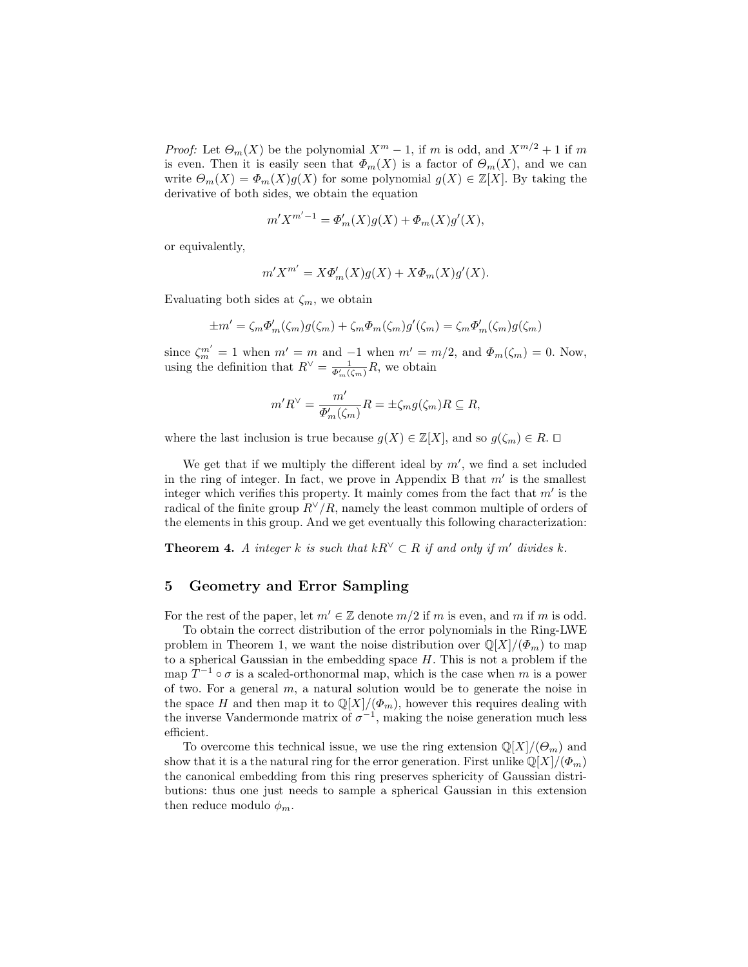*Proof:* Let  $\Theta_m(X)$  be the polynomial  $X^m - 1$ , if m is odd, and  $X^{m/2} + 1$  if m is even. Then it is easily seen that  $\Phi_m(X)$  is a factor of  $\Theta_m(X)$ , and we can write  $\Theta_m(X) = \Phi_m(X)g(X)$  for some polynomial  $g(X) \in \mathbb{Z}[X]$ . By taking the derivative of both sides, we obtain the equation

$$
m'X^{m'-1}=\varPhi'_m(X)g(X)+\varPhi_m(X)g'(X),
$$

or equivalently,

$$
m'X^{m'} = X\Phi'_m(X)g(X) + X\Phi_m(X)g'(X).
$$

Evaluating both sides at  $\zeta_m$ , we obtain

$$
\pm m' = \zeta_m \Phi'_m(\zeta_m) g(\zeta_m) + \zeta_m \Phi_m(\zeta_m) g'(\zeta_m) = \zeta_m \Phi'_m(\zeta_m) g(\zeta_m)
$$

since  $\zeta_m^{m'} = 1$  when  $m' = m$  and  $-1$  when  $m' = m/2$ , and  $\Phi_m(\zeta_m) = 0$ . Now, using the definition that  $R^{\vee} = \frac{1}{\Phi'_m(\zeta_m)}R$ , we obtain

$$
m'R^{\vee} = \frac{m'}{\Phi'_{m}(\zeta_{m})}R = \pm \zeta_{m}g(\zeta_{m})R \subseteq R,
$$

where the last inclusion is true because  $g(X) \in \mathbb{Z}[X]$ , and so  $g(\zeta_m) \in R$ .  $\Box$ 

We get that if we multiply the different ideal by  $m'$ , we find a set included in the ring of integer. In fact, we prove in Appendix B that  $m'$  is the smallest integer which verifies this property. It mainly comes from the fact that  $m'$  is the radical of the finite group  $R^{\vee}/R$ , namely the least common multiple of orders of the elements in this group. And we get eventually this following characterization:

**Theorem 4.** A integer k is such that  $kR^{\vee} \subset R$  if and only if m' divides k.

## 5 Geometry and Error Sampling

For the rest of the paper, let  $m' \in \mathbb{Z}$  denote  $m/2$  if m is even, and m if m is odd.

To obtain the correct distribution of the error polynomials in the Ring-LWE problem in Theorem 1, we want the noise distribution over  $\mathbb{Q}[X]/(\Phi_m)$  to map to a spherical Gaussian in the embedding space  $H$ . This is not a problem if the map  $T^{-1} \circ \sigma$  is a scaled-orthonormal map, which is the case when m is a power of two. For a general  $m$ , a natural solution would be to generate the noise in the space H and then map it to  $\mathbb{Q}[X]/(\Phi_m)$ , however this requires dealing with the inverse Vandermonde matrix of  $\sigma^{-1}$ , making the noise generation much less efficient.

To overcome this technical issue, we use the ring extension  $\mathbb{Q}[X]/(\Theta_m)$  and show that it is a the natural ring for the error generation. First unlike  $\mathbb{Q}[X]/(\Phi_m)$ the canonical embedding from this ring preserves sphericity of Gaussian distributions: thus one just needs to sample a spherical Gaussian in this extension then reduce modulo  $\phi_m$ .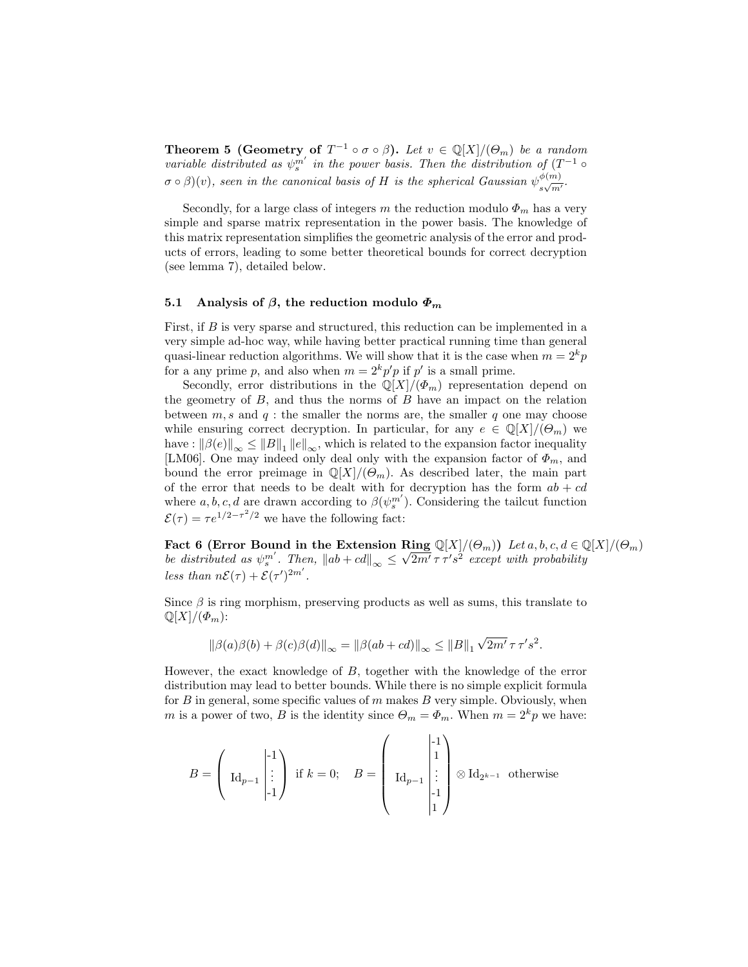**Theorem 5 (Geometry of**  $T^{-1} \circ \sigma \circ \beta$ ). Let  $v \in \mathbb{Q}[X]/(\Theta_m)$  be a random variable distributed as  $\psi_s^{m'}$  in the power basis. Then the distribution of  $(T^{-1} \circ$  $\sigma \circ \beta)(v)$ , seen in the canonical basis of H is the spherical Gaussian  $\psi_{\beta}^{\phi(m)}$  $\frac{\varphi(m)}{s\sqrt{m'}}$ 

Secondly, for a large class of integers m the reduction modulo  $\Phi_m$  has a very simple and sparse matrix representation in the power basis. The knowledge of this matrix representation simplifies the geometric analysis of the error and products of errors, leading to some better theoretical bounds for correct decryption (see lemma 7), detailed below.

#### 5.1 Analysis of  $\beta$ , the reduction modulo  $\Phi_m$

First, if B is very sparse and structured, this reduction can be implemented in a very simple ad-hoc way, while having better practical running time than general quasi-linear reduction algorithms. We will show that it is the case when  $m = 2<sup>k</sup>p$ for a any prime p, and also when  $m = 2<sup>k</sup>p'p$  if p' is a small prime.

Secondly, error distributions in the  $\mathbb{Q}[X]/(\Phi_m)$  representation depend on the geometry of  $B$ , and thus the norms of  $B$  have an impact on the relation between  $m, s$  and  $q$ : the smaller the norms are, the smaller q one may choose while ensuring correct decryption. In particular, for any  $e \in \mathbb{Q}[X]/(\Theta_m)$  we have :  $\|\beta(e)\|_{\infty} \le \|B\|_1 \|e\|_{\infty}$ , which is related to the expansion factor inequality [LM06]. One may indeed only deal only with the expansion factor of  $\Phi_m$ , and bound the error preimage in  $\mathbb{Q}[X]/(\Theta_m)$ . As described later, the main part of the error that needs to be dealt with for decryption has the form  $ab + cd$ where  $a, b, c, d$  are drawn according to  $\beta(\psi_s^{m'})$ . Considering the tailcut function  $\mathcal{E}(\tau) = \tau e^{1/2 - \tau^2/2}$  we have the following fact:

Fact 6 (Error Bound in the Extension Ring  $\mathbb{Q}[X]/(\Theta_m)$ ) Let  $a, b, c, d \in \mathbb{Q}[X]/(\Theta_m)$ be distributed as  $\psi_s^{m'}$ . Then,  $\|ab + cd\|_{\infty} \leq \sqrt{2m'} \tau \tau' s^2$  except with probability less than  $n\mathcal{E}(\tau) + \mathcal{E}(\tau')^{2m'}$ .

Since  $\beta$  is ring morphism, preserving products as well as sums, this translate to  $\mathbb{Q}[X]/(\Phi_m)$ :

$$
\|\beta(a)\beta(b) + \beta(c)\beta(d)\|_{\infty} = \|\beta(ab + cd)\|_{\infty} \le \|B\|_{1} \sqrt{2m'} \tau \tau's^{2}.
$$

However, the exact knowledge of B, together with the knowledge of the error distribution may lead to better bounds. While there is no simple explicit formula for  $B$  in general, some specific values of  $m$  makes  $B$  very simple. Obviously, when m is a power of two, B is the identity since  $\Theta_m = \Phi_m$ . When  $m = 2^k p$  we have:

$$
B = \left(\begin{array}{c} \begin{pmatrix} -1 \\ \mathrm{Id}_{p-1} \end{pmatrix} & \text{if } k = 0; \quad B = \left(\begin{array}{c} \begin{pmatrix} -1 \\ 1 \\ \mathrm{Id}_{p-1} \end{pmatrix} & \begin{pmatrix} -1 \\ \mathrm{Id}_{p-1} \end{pmatrix} \otimes \mathrm{Id}_{2^{k-1}} & \text{otherwise} \end{array}\right)
$$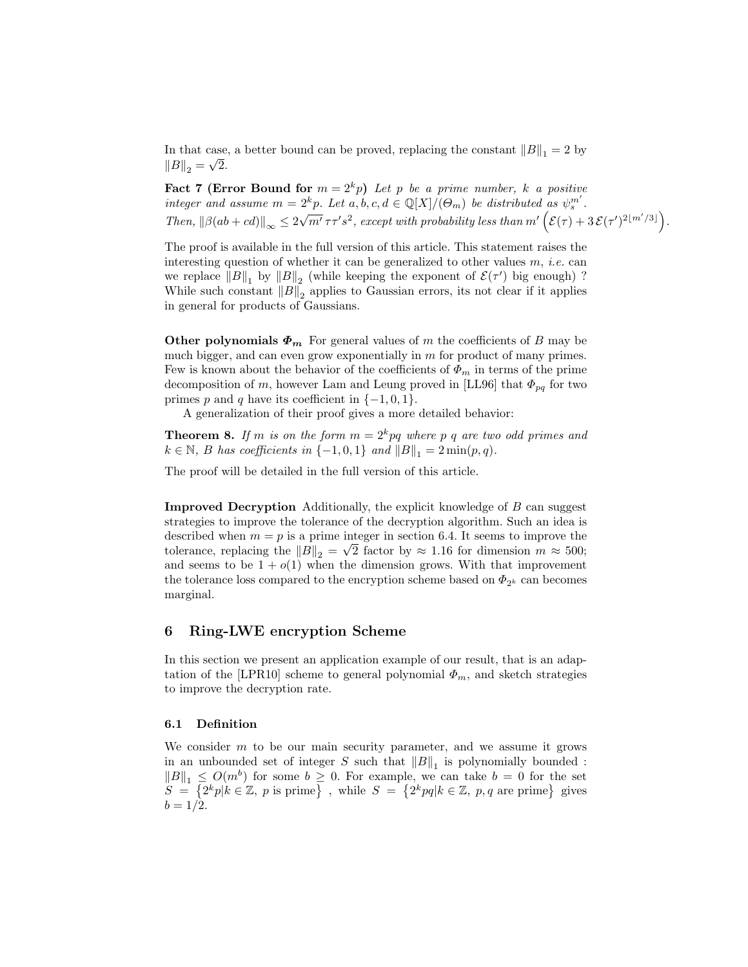In that case, a better bound can be proved, replacing the constant  $||B||_1 = 2$  by  $||B||_2 = \sqrt{2}.$ 

**Fact 7 (Error Bound for**  $m = 2<sup>k</sup>p$ ) Let p be a prime number, k a positive integer and assume  $m = 2^k p$ . Let  $a, b, c, d \in \mathbb{Q}[X]/(\Theta_m)$  be distributed as  $\psi_s^{m'}$ . Then,  $\|\beta(ab + cd)\|_{\infty} \leq 2$  $\sqrt{m'} \tau \tau' s^2$ , except with probability less than  $m'(\mathcal{E}(\tau) + 3 \mathcal{E}(\tau')^{2\lfloor m'/3 \rfloor}).$ 

The proof is available in the full version of this article. This statement raises the interesting question of whether it can be generalized to other values  $m$ , *i.e.* can we replace  $||B||_1$  by  $||B||_2$  (while keeping the exponent of  $\mathcal{E}(\tau')$  big enough)? While such constant  $||B||_2$  applies to Gaussian errors, its not clear if it applies in general for products of Gaussians.

Other polynomials  $\Phi_m$  For general values of m the coefficients of B may be much bigger, and can even grow exponentially in  $m$  for product of many primes. Few is known about the behavior of the coefficients of  $\Phi_m$  in terms of the prime decomposition of m, however Lam and Leung proved in [LL96] that  $\Phi_{pq}$  for two primes p and q have its coefficient in  $\{-1,0,1\}$ .

A generalization of their proof gives a more detailed behavior:

**Theorem 8.** If m is on the form  $m = 2<sup>k</sup> pq$  where p q are two odd primes and  $k \in \mathbb{N}$ , B has coefficients in  $\{-1,0,1\}$  and  $||B||_1 = 2 \min(p,q)$ .

The proof will be detailed in the full version of this article.

Improved Decryption Additionally, the explicit knowledge of B can suggest strategies to improve the tolerance of the decryption algorithm. Such an idea is described when  $m = p$  is a prime integer in section 6.4. It seems to improve the tolerance, replacing the  $||B||_2 = \sqrt{2}$  factor by  $\approx 1.16$  for dimension  $m \approx 500$ ; and seems to be  $1 + o(1)$  when the dimension grows. With that improvement the tolerance loss compared to the encryption scheme based on  $\Phi_{2^k}$  can becomes marginal.

## 6 Ring-LWE encryption Scheme

In this section we present an application example of our result, that is an adaptation of the [LPR10] scheme to general polynomial  $\Phi_m$ , and sketch strategies to improve the decryption rate.

#### 6.1 Definition

We consider  $m$  to be our main security parameter, and we assume it grows in an unbounded set of integer S such that  $||B||_1$  is polynomially bounded:  $||B||_1 \leq O(m^b)$  for some  $b \geq 0$ . For example, we can take  $b = 0$  for the set  $S = \{2^k p | k \in \mathbb{Z}, p \text{ is prime}\}\$ , while  $S = \{2^k pq | k \in \mathbb{Z}, p, q \text{ are prime}\}\$ gives  $b = 1/2$ .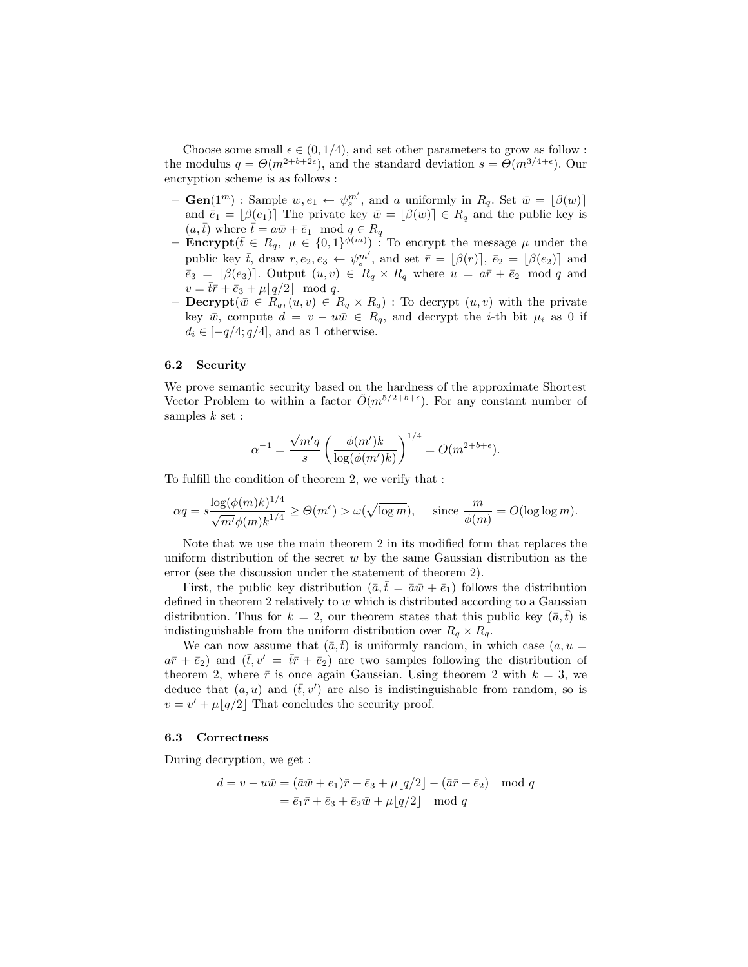Choose some small  $\epsilon \in (0, 1/4)$ , and set other parameters to grow as follow : the modulus  $q = \Theta(m^{2+b+2\epsilon})$ , and the standard deviation  $s = \Theta(m^{3/4+\epsilon})$ . Our encryption scheme is as follows :

- $\text{ Gen}(1^m) : \text{Sample } w, e_1 \leftarrow \psi_s^{m'}$ , and a uniformly in  $R_q$ . Set  $\bar{w} = [\beta(w)]$ and  $\bar{e}_1 = |\beta(e_1)|$  The private key  $\bar{w} = |\beta(w)| \in R_q$  and the public key is  $(a, \bar{t})$  where  $\bar{t} = a\bar{w} + \bar{e}_1 \mod q \in R_q$
- **Encrypt**( $\bar{t} \in R_q$ ,  $\mu \in \{0,1\}^{\bar{\phi}(m)}$ ) : To encrypt the message  $\mu$  under the public key  $\bar{t}$ , draw  $r, e_2, e_3 \leftarrow \psi_s^{m'}$ , and set  $\bar{r} = [\beta(r)]$ ,  $\bar{e}_2 = [\beta(e_2)]$  and  $\bar{e}_3 = [\beta(e_3)]$ . Output  $(u, v) \in R_q \times R_q$  where  $u = a\bar{r} + \bar{e}_2 \mod q$  and  $v = \bar{t}\bar{r} + \bar{e}_3 + \mu\lfloor q/2 \rfloor \mod q.$
- **Decrypt** $(\bar{w} \in \overline{R}_q, (u, v) \in R_q \times R_q)$ : To decrypt  $(u, v)$  with the private key  $\bar{w}$ , compute  $d = v - u\bar{w} \in R_q$ , and decrypt the *i*-th bit  $\mu_i$  as 0 if  $d_i \in [-q/4; q/4]$ , and as 1 otherwise.

#### 6.2 Security

We prove semantic security based on the hardness of the approximate Shortest Vector Problem to within a factor  $\tilde{O}(m^{5/2+b+\epsilon})$ . For any constant number of samples  $k$  set :

$$
\alpha^{-1} = \frac{\sqrt{m'}q}{s} \left( \frac{\phi(m')k}{\log(\phi(m')k)} \right)^{1/4} = O(m^{2+b+\epsilon}).
$$

To fulfill the condition of theorem 2, we verify that :

$$
\alpha q = s \frac{\log(\phi(m)k)^{1/4}}{\sqrt{m'}\phi(m)k^{1/4}} \ge \Theta(m^{\epsilon}) > \omega(\sqrt{\log m}), \quad \text{ since } \frac{m}{\phi(m)} = O(\log \log m).
$$

Note that we use the main theorem 2 in its modified form that replaces the uniform distribution of the secret  $w$  by the same Gaussian distribution as the error (see the discussion under the statement of theorem 2).

First, the public key distribution  $(\bar{a}, \bar{t} = \bar{a}\bar{w} + \bar{e}_1)$  follows the distribution defined in theorem 2 relatively to  $w$  which is distributed according to a Gaussian distribution. Thus for  $k = 2$ , our theorem states that this public key  $(\bar{a}, \bar{t})$  is indistinguishable from the uniform distribution over  $R_q \times R_q$ .

We can now assume that  $(\bar{a}, \bar{t})$  is uniformly random, in which case  $(a, u =$  $a\bar{r} + \bar{e}_2$ ) and  $(\bar{t}, v' = t\bar{r} + \bar{e}_2)$  are two samples following the distribution of theorem 2, where  $\bar{r}$  is once again Gaussian. Using theorem 2 with  $k = 3$ , we deduce that  $(a, u)$  and  $(\bar{t}, v')$  are also is indistinguishable from random, so is  $v = v' + \mu \lfloor q/2 \rfloor$  That concludes the security proof.

#### 6.3 Correctness

During decryption, we get :

$$
d = v - u\overline{w} = (\overline{a}\overline{w} + e_1)\overline{r} + \overline{e}_3 + \mu\lfloor q/2 \rfloor - (\overline{a}\overline{r} + \overline{e}_2) \mod q
$$
  
=  $\overline{e}_1\overline{r} + \overline{e}_3 + \overline{e}_2\overline{w} + \mu\lfloor q/2 \rfloor \mod q$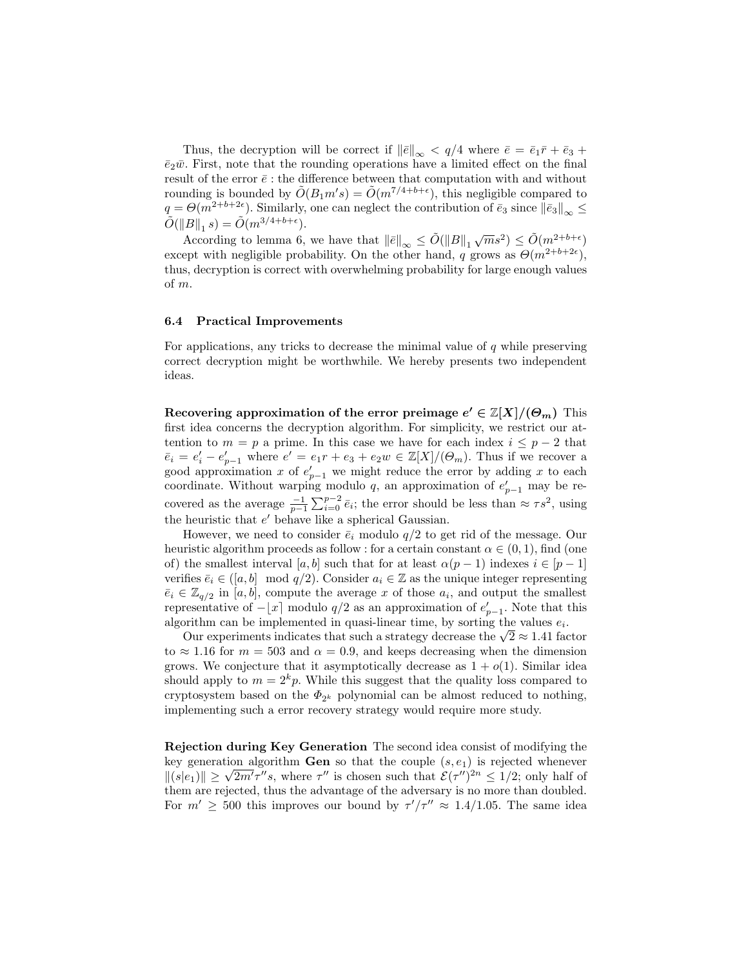Thus, the decryption will be correct if  $\|\bar{e}\|_{\infty} < q/4$  where  $\bar{e} = \bar{e}_1\bar{r} + \bar{e}_3 +$  $\bar{e}_2\bar{w}$ . First, note that the rounding operations have a limited effect on the final result of the error  $\bar{e}$  : the difference between that computation with and without rounding is bounded by  $\tilde{O}(B_1 m's) = \tilde{O}(m^{7/4+b+\epsilon})$ , this negligible compared to  $q = \Theta(m^{2+b+2\epsilon})$ . Similarly, one can neglect the contribution of  $\bar{e}_3$  since  $\|\bar{e}_3\|_{\infty} \leq$  $\tilde{O}(\|B\|_1 s) = \tilde{O}(m^{3/4 + b + \epsilon}).$ 

According to lemma 6, we have that  $||\bar{e}||_{\infty} \leq \tilde{O}(||B||_1 \sqrt{m}s^2) \leq \tilde{O}(m^{2+b+\epsilon})$ except with negligible probability. On the other hand, q grows as  $\Theta(m^{2+b+2\epsilon})$ , thus, decryption is correct with overwhelming probability for large enough values of m.

#### 6.4 Practical Improvements

For applications, any tricks to decrease the minimal value of q while preserving correct decryption might be worthwhile. We hereby presents two independent ideas.

Recovering approximation of the error preimage  $e' \in \mathbb{Z}[X]/(\Theta_m)$  This first idea concerns the decryption algorithm. For simplicity, we restrict our attention to  $m = p$  a prime. In this case we have for each index  $i \leq p - 2$  that  $\overline{e}_i = e'_i - e'_{p-1}$  where  $e' = e_1r + e_3 + e_2w \in \mathbb{Z}[X]/(\Theta_m)$ . Thus if we recover a good approximation x of  $e'_{p-1}$  we might reduce the error by adding x to each coordinate. Without warping modulo q, an approximation of  $e'_{p-1}$  may be recovered as the average  $\frac{-1}{p-1}\sum_{i=0}^{p-2}\bar{e}_i$ ; the error should be less than  $\approx \tau s^2$ , using the heuristic that  $e'$  behave like a spherical Gaussian.

However, we need to consider  $\bar{e}_i$  modulo  $q/2$  to get rid of the message. Our heuristic algorithm proceeds as follow : for a certain constant  $\alpha \in (0,1)$ , find (one of) the smallest interval [a, b] such that for at least  $\alpha(p-1)$  indexes  $i \in [p-1]$ verifies  $\bar{e}_i \in (a, b] \mod q/2$ . Consider  $a_i \in \mathbb{Z}$  as the unique integer representing  $\bar{e}_i \in \mathbb{Z}_{q/2}$  in [a, b], compute the average x of those  $a_i$ , and output the smallest representative of  $-[x]$  modulo  $q/2$  as an approximation of  $e'_{p-1}$ . Note that this algorithm can be implemented in quasi-linear time, by sorting the values  $e_i$ .

orithm can be implemented in quasi-inear time, by sorting the values  $e_i$ .<br>Our experiments indicates that such a strategy decrease the  $\sqrt{2} \approx 1.41$  factor to  $\approx$  1.16 for  $m = 503$  and  $\alpha = 0.9$ , and keeps decreasing when the dimension grows. We conjecture that it asymptotically decrease as  $1 + o(1)$ . Similar idea should apply to  $m = 2<sup>k</sup>p$ . While this suggest that the quality loss compared to cryptosystem based on the  $\Phi_{2^k}$  polynomial can be almost reduced to nothing, implementing such a error recovery strategy would require more study.

Rejection during Key Generation The second idea consist of modifying the key generation algorithm **Gen** so that the couple  $(s, e_1)$  is rejected whenever key generation algorithm **Gen** so that the couple  $(s, e_1)$  is rejected whenever  $||(s|e_1)|| \ge \sqrt{2m' \tau'' s}$ , where  $\tau''$  is chosen such that  $\mathcal{E}(\tau'')^{2n} \le 1/2$ ; only half of them are rejected, thus the advantage of the adversary is no more than doubled. For  $m' \geq 500$  this improves our bound by  $\tau'/\tau'' \approx 1.4/1.05$ . The same idea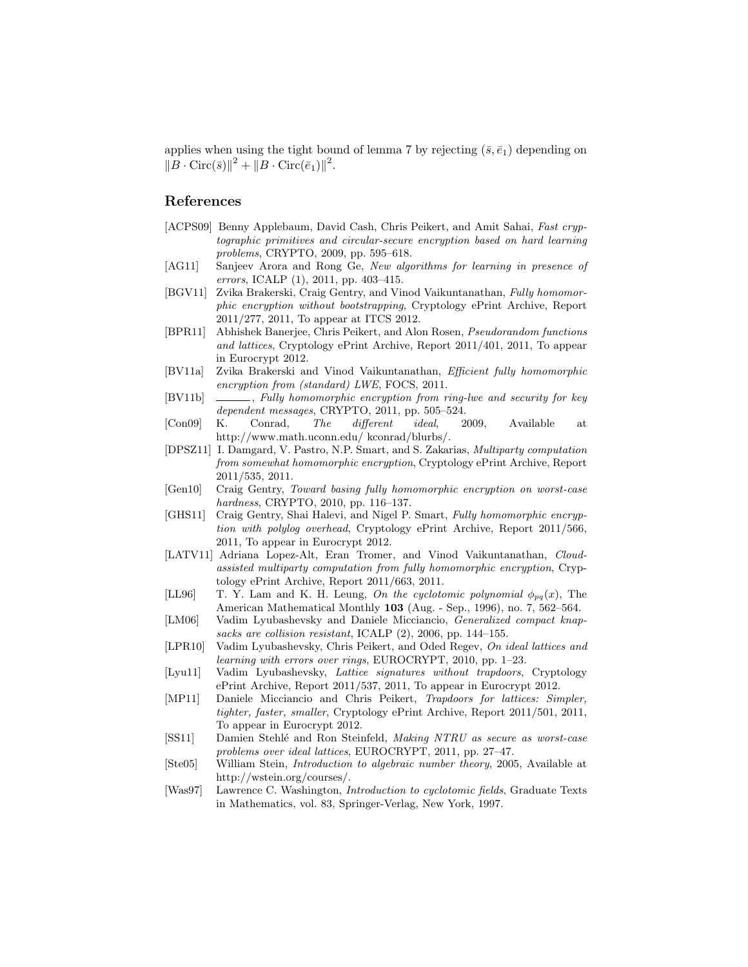applies when using the tight bound of lemma 7 by rejecting  $(\bar{s}, \bar{e}_1)$  depending on  $||B \cdot \text{Circ}(\bar{s})||^2 + ||B \cdot \text{Circ}(\bar{e}_1)||^2.$ 

## References

- [ACPS09] Benny Applebaum, David Cash, Chris Peikert, and Amit Sahai, Fast cryptographic primitives and circular-secure encryption based on hard learning problems, CRYPTO, 2009, pp. 595–618.
- [AG11] Sanjeev Arora and Rong Ge, New algorithms for learning in presence of errors, ICALP (1), 2011, pp. 403–415.
- [BGV11] Zvika Brakerski, Craig Gentry, and Vinod Vaikuntanathan, Fully homomorphic encryption without bootstrapping, Cryptology ePrint Archive, Report 2011/277, 2011, To appear at ITCS 2012.
- [BPR11] Abhishek Banerjee, Chris Peikert, and Alon Rosen, Pseudorandom functions and lattices, Cryptology ePrint Archive, Report 2011/401, 2011, To appear in Eurocrypt 2012.
- [BV11a] Zvika Brakerski and Vinod Vaikuntanathan, Efficient fully homomorphic encryption from (standard) LWE, FOCS, 2011.
- [BV11b] \_\_\_\_\_, Fully homomorphic encryption from ring-lwe and security for key dependent messages, CRYPTO, 2011, pp. 505–524.<br>K. Conrad, The different ideal, 2
- [Con09] K. Conrad, The different ideal, 2009, Available at http://www.math.uconn.edu/ kconrad/blurbs/.
- [DPSZ11] I. Damgard, V. Pastro, N.P. Smart, and S. Zakarias, Multiparty computation from somewhat homomorphic encryption, Cryptology ePrint Archive, Report 2011/535, 2011.
- [Gen10] Craig Gentry, Toward basing fully homomorphic encryption on worst-case hardness, CRYPTO, 2010, pp. 116–137.
- [GHS11] Craig Gentry, Shai Halevi, and Nigel P. Smart, Fully homomorphic encryption with polylog overhead, Cryptology ePrint Archive, Report 2011/566, 2011, To appear in Eurocrypt 2012.
- [LATV11] Adriana Lopez-Alt, Eran Tromer, and Vinod Vaikuntanathan, Cloudassisted multiparty computation from fully homomorphic encryption, Cryptology ePrint Archive, Report 2011/663, 2011.
- [LL96] T. Y. Lam and K. H. Leung, On the cyclotomic polynomial  $\phi_{pq}(x)$ , The American Mathematical Monthly 103 (Aug. - Sep., 1996), no. 7, 562–564.
- [LM06] Vadim Lyubashevsky and Daniele Micciancio, Generalized compact knapsacks are collision resistant, ICALP (2), 2006, pp. 144–155.
- [LPR10] Vadim Lyubashevsky, Chris Peikert, and Oded Regev, On ideal lattices and learning with errors over rings, EUROCRYPT, 2010, pp. 1–23.
- [Lyu11] Vadim Lyubashevsky, Lattice signatures without trapdoors, Cryptology ePrint Archive, Report 2011/537, 2011, To appear in Eurocrypt 2012.
- [MP11] Daniele Micciancio and Chris Peikert, Trapdoors for lattices: Simpler, tighter, faster, smaller, Cryptology ePrint Archive, Report 2011/501, 2011, To appear in Eurocrypt 2012.
- [SS11] Damien Stehlé and Ron Steinfeld, Making NTRU as secure as worst-case problems over ideal lattices, EUROCRYPT, 2011, pp. 27–47.
- [Ste05] William Stein, Introduction to algebraic number theory, 2005, Available at http://wstein.org/courses/.
- [Was97] Lawrence C. Washington, Introduction to cyclotomic fields, Graduate Texts in Mathematics, vol. 83, Springer-Verlag, New York, 1997.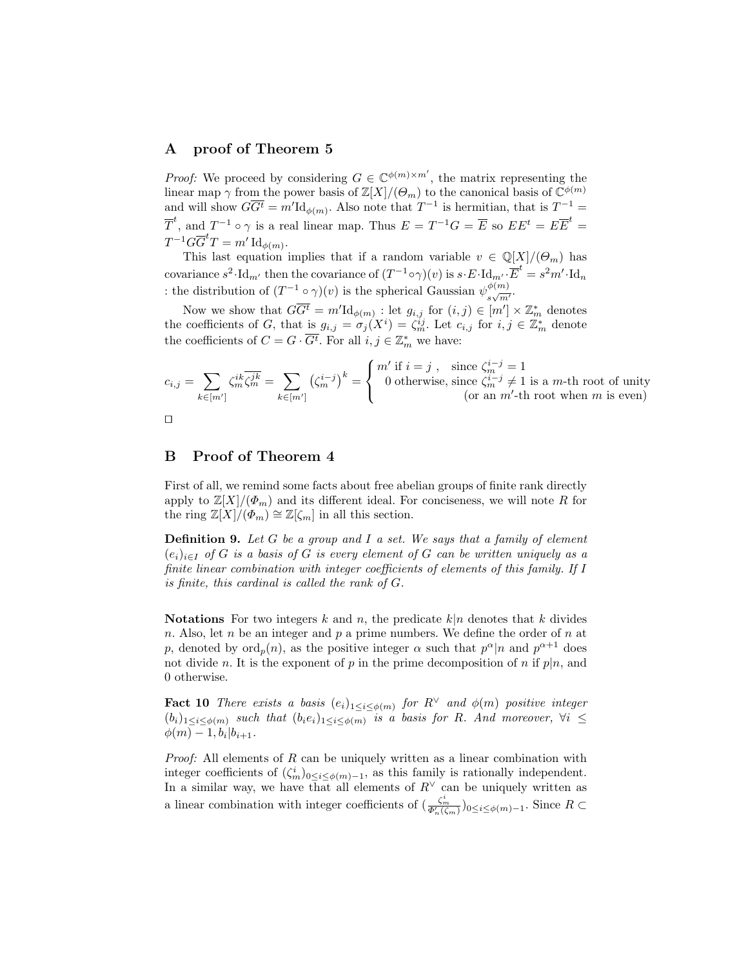## A proof of Theorem 5

*Proof:* We proceed by considering  $G \in \mathbb{C}^{\phi(m)\times m'}$ , the matrix representing the linear map  $\gamma$  from the power basis of  $\mathbb{Z}[X]/(\Theta_m)$  to the canonical basis of  $\mathbb{C}^{\phi(m)}$ and will show  $G\overline{G}^t = m'\text{Id}_{\phi(m)}$ . Also note that  $T^{-1}$  is hermitian, that is  $T^{-1} =$  $\overline{T}^t$ , and  $T^{-1} \circ \gamma$  is a real linear map. Thus  $E = T^{-1}G = \overline{E}$  so  $EE^t = E\overline{E}^t =$  $T^{-1}G\overline{G}^tT=m'\operatorname{Id}_{\phi(m)}.$ 

This last equation implies that if a random variable  $v \in \mathbb{Q}[X]/(\Theta_m)$  has covariance  $s^2 \cdot \text{Id}_{m'}$  then the covariance of  $(T^{-1} \circ \gamma)(v)$  is  $s \cdot E \cdot \text{Id}_{m'} \cdot \overline{E}^t = s^2 m' \cdot \text{Id}_n$ : the distribution of  $(T^{-1} \circ \gamma)(v)$  is the spherical Gaussian  $\psi_{v}^{\phi(m)}$  $\frac{\varphi(m)}{s\sqrt{m'}}$ 

Now we show that  $G\overline{G}^t = m'\mathrm{Id}_{\phi(m)}$ : let  $g_{i,j}$  for  $(i,j) \in [m'] \times \mathbb{Z}_m^*$  denotes the coefficients of G, that is  $g_{i,j} = \sigma_j(X^i) = \zeta_m^{ij}$ . Let  $c_{i,j}$  for  $i, j \in \mathbb{Z}_m^*$  denote the coefficients of  $C = G \cdot \overline{G^t}$ . For all  $i, j \in \mathbb{Z}_m^*$  we have:

$$
c_{i,j} = \sum_{k \in [m']} \zeta_m^{ik} \overline{\zeta_m^{jk}} = \sum_{k \in [m']} \left(\zeta_m^{i-j}\right)^k = \begin{cases} m' \text{ if } i = j, & \text{since } \zeta_m^{i-j} = 1\\ 0 \text{ otherwise, since } \zeta_m^{i-j} \neq 1 \text{ is a } m\text{-th root of unity} \\ \text{ (or an } m'\text{-th root when } m \text{ is even)} \end{cases}
$$



## B Proof of Theorem 4

First of all, we remind some facts about free abelian groups of finite rank directly apply to  $\mathbb{Z}[X]/(\Phi_m)$  and its different ideal. For conciseness, we will note R for the ring  $\mathbb{Z}[X]/(\Phi_m) \cong \mathbb{Z}[\zeta_m]$  in all this section.

**Definition 9.** Let G be a group and I a set. We says that a family of element  $(e_i)_{i\in I}$  of G is a basis of G is every element of G can be written uniquely as a finite linear combination with integer coefficients of elements of this family. If I is finite, this cardinal is called the rank of G.

Notations For two integers k and n, the predicate  $k|n$  denotes that k divides n. Also, let n be an integer and p a prime numbers. We define the order of n at p, denoted by  $\text{ord}_p(n)$ , as the positive integer  $\alpha$  such that  $p^{\alpha}|n$  and  $p^{\alpha+1}$  does not divide n. It is the exponent of p in the prime decomposition of n if  $p|n$ , and 0 otherwise.

**Fact 10** There exists a basis  $(e_i)_{1 \leq i \leq \phi(m)}$  for  $R^{\vee}$  and  $\phi(m)$  positive integer  $(b_i)_{1\leq i\leq\phi(m)}$  such that  $(b_ie_i)_{1\leq i\leq\phi(m)}$  is a basis for R. And moreover,  $\forall i\leq$  $\phi(m) - 1, b_i | b_{i+1}.$ 

*Proof:* All elements of  $R$  can be uniquely written as a linear combination with integer coefficients of  $(\zeta_m^i)_{0 \leq i \leq \phi(m)-1}$ , as this family is rationally independent. In a similar way, we have that all elements of  $R<sup>∨</sup>$  can be uniquely written as a linear combination with integer coefficients of  $(\frac{\zeta_m^i}{\Phi_n'(\zeta_m)})_{0\leq i\leq \phi(m)-1}$ . Since  $R \subset$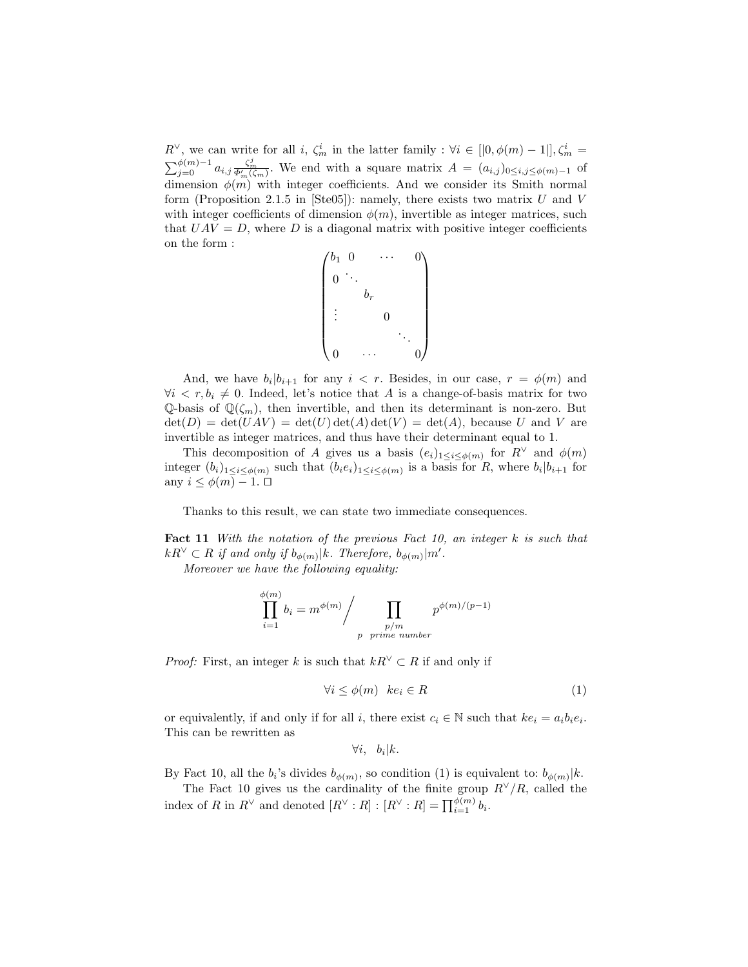$R^{\vee}$ , we can write for all i,  $\zeta_m^i$  in the latter family :  $\forall i \in [0, \phi(m) - 1], \zeta_m^i =$  $\sum_{j=0}^{\phi(m)-1} a_{i,j} \frac{\zeta_m^j}{\Phi_m'(\zeta_m)}$ . We end with a square matrix  $A = (a_{i,j})_{0 \le i,j \le \phi(m)-1}$  of dimension  $\phi(m)$  with integer coefficients. And we consider its Smith normal form (Proposition 2.1.5 in [Ste05]): namely, there exists two matrix  $U$  and  $V$ with integer coefficients of dimension  $\phi(m)$ , invertible as integer matrices, such that  $UAV = D$ , where D is a diagonal matrix with positive integer coefficients on the form :

$$
\begin{pmatrix} b_1 & 0 & & \cdots & & 0 \\ & & & & & \\ 0 & & & & & \\ & & b_r & & & \\ \vdots & & & 0 & & \\ & & & & \ddots & \\ 0 & & \cdots & & & 0 \end{pmatrix}
$$

And, we have  $b_i | b_{i+1}$  for any  $i \leq r$ . Besides, in our case,  $r = \phi(m)$  and  $\forall i \leq r, b_i \neq 0$ . Indeed, let's notice that A is a change-of-basis matrix for two  $\mathbb{Q}$ -basis of  $\mathbb{Q}(\zeta_m)$ , then invertible, and then its determinant is non-zero. But  $\det(D) = \det(UAV) = \det(U) \det(A) \det(V) = \det(A)$ , because U and V are invertible as integer matrices, and thus have their determinant equal to 1.

This decomposition of A gives us a basis  $(e_i)_{1 \leq i \leq \phi(m)}$  for  $R^{\vee}$  and  $\phi(m)$ integer  $(b_i)_{1 \leq i \leq \phi(m)}$  such that  $(b_i e_i)_{1 \leq i \leq \phi(m)}$  is a basis for R, where  $b_i | b_{i+1}$  for any  $i \leq \phi(m) - 1$ .  $\Box$ 

Thanks to this result, we can state two immediate consequences.

Fact 11 With the notation of the previous Fact 10, an integer k is such that  $kR^{\vee} \subset R$  if and only if  $b_{\phi(m)}|k$ . Therefore,  $b_{\phi(m)}|m'$ .

Moreover we have the following equality:

$$
\prod_{i=1}^{\phi(m)} b_i = m^{\phi(m)} / \prod_{\substack{p/m \\ p \text{ prime number}}} p^{\phi(m)/(p-1)}
$$

*Proof:* First, an integer k is such that  $kR^{\vee} \subset R$  if and only if

$$
\forall i \le \phi(m) \quad ke_i \in R \tag{1}
$$

or equivalently, if and only if for all i, there exist  $c_i \in \mathbb{N}$  such that  $ke_i = a_i b_i e_i$ . This can be rewritten as

$$
\forall i, b_i | k.
$$

By Fact 10, all the  $b_i$ 's divides  $b_{\phi(m)}$ , so condition (1) is equivalent to:  $b_{\phi(m)}|k$ .

The Fact 10 gives us the cardinality of the finite group  $R^{\vee}/R$ , called the index of R in  $R^{\vee}$  and denoted  $[R^{\vee}:R] : [R^{\vee}:R] = \prod_{i=1}^{\phi(m)} b_i$ .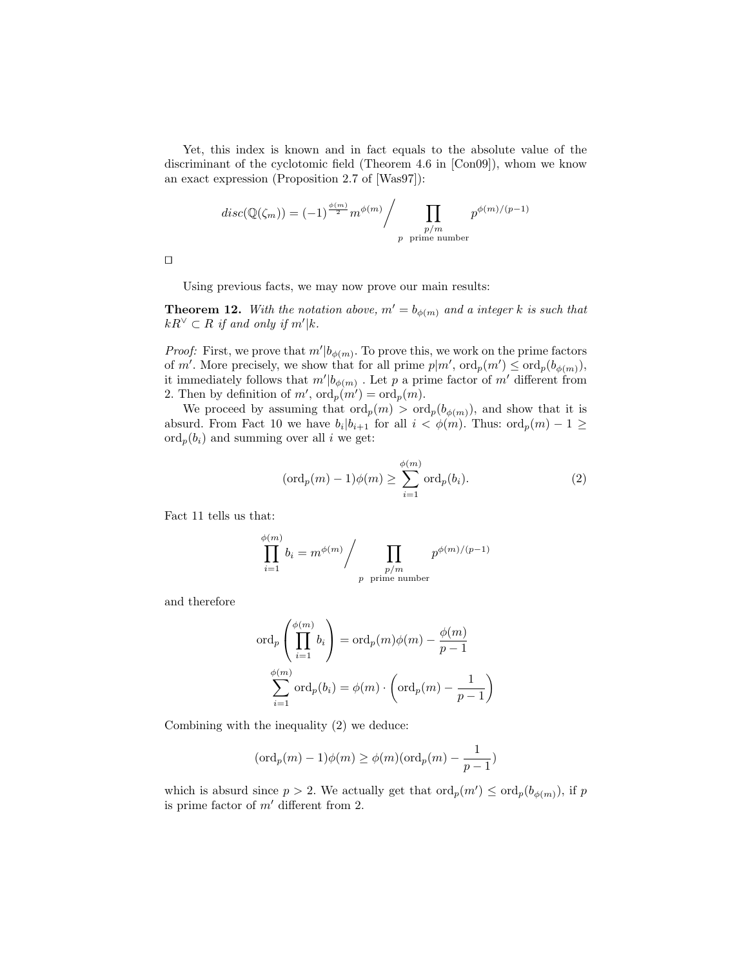Yet, this index is known and in fact equals to the absolute value of the discriminant of the cyclotomic field (Theorem 4.6 in [Con09]), whom we know an exact expression (Proposition 2.7 of [Was97]):

$$
disc(\mathbb{Q}(\zeta_m)) = (-1)^{\frac{\phi(m)}{2}} m^{\phi(m)} / \prod_{\substack{p/m\\p \text{ prime number}}} p^{\phi(m)/(p-1)}
$$

 $\Box$ 

Using previous facts, we may now prove our main results:

**Theorem 12.** With the notation above,  $m' = b_{\phi(m)}$  and a integer k is such that  $kR^{\vee} \subset R$  if and only if  $m'|k$ .

*Proof:* First, we prove that  $m'|b_{\phi(m)}$ . To prove this, we work on the prime factors of m'. More precisely, we show that for all prime  $p|m'$ ,  $\text{ord}_p(m') \leq \text{ord}_p(b_{\phi(m)}),$ it immediately follows that  $m'|b_{\phi(m)}$ . Let p a prime factor of  $m'$  different from 2. Then by definition of  $m'$ ,  $\operatorname{ord}_p(m') = \operatorname{ord}_p(m)$ .

We proceed by assuming that  $\text{ord}_p(m) > \text{ord}_p(b_{\phi(m)})$ , and show that it is absurd. From Fact 10 we have  $b_i | b_{i+1}$  for all  $i < \phi(m)$ . Thus:  $\text{ord}_p(m) - 1 \geq$  $\mathrm{ord}_p(b_i)$  and summing over all i we get:

$$
(\text{ord}_p(m) - 1)\phi(m) \ge \sum_{i=1}^{\phi(m)} \text{ord}_p(b_i). \tag{2}
$$

Fact 11 tells us that:

$$
\prod_{i=1}^{\phi(m)} b_i = m^{\phi(m)} / \prod_{\substack{p/m \\ p \text{ prime number}}} p^{\phi(m)/(p-1)}
$$

and therefore

$$
\operatorname{ord}_p\left(\prod_{i=1}^{\phi(m)} b_i\right) = \operatorname{ord}_p(m)\phi(m) - \frac{\phi(m)}{p-1}
$$

$$
\sum_{i=1}^{\phi(m)} \operatorname{ord}_p(b_i) = \phi(m) \cdot \left(\operatorname{ord}_p(m) - \frac{1}{p-1}\right)
$$

Combining with the inequality (2) we deduce:

$$
({\rm ord}_p(m)-1)\phi(m)\geq \phi(m)({\rm ord}_p(m)-\frac{1}{p-1})
$$

which is absurd since  $p > 2$ . We actually get that  $\text{ord}_p(m') \leq \text{ord}_p(b_{\phi(m)})$ , if p is prime factor of  $m'$  different from 2.